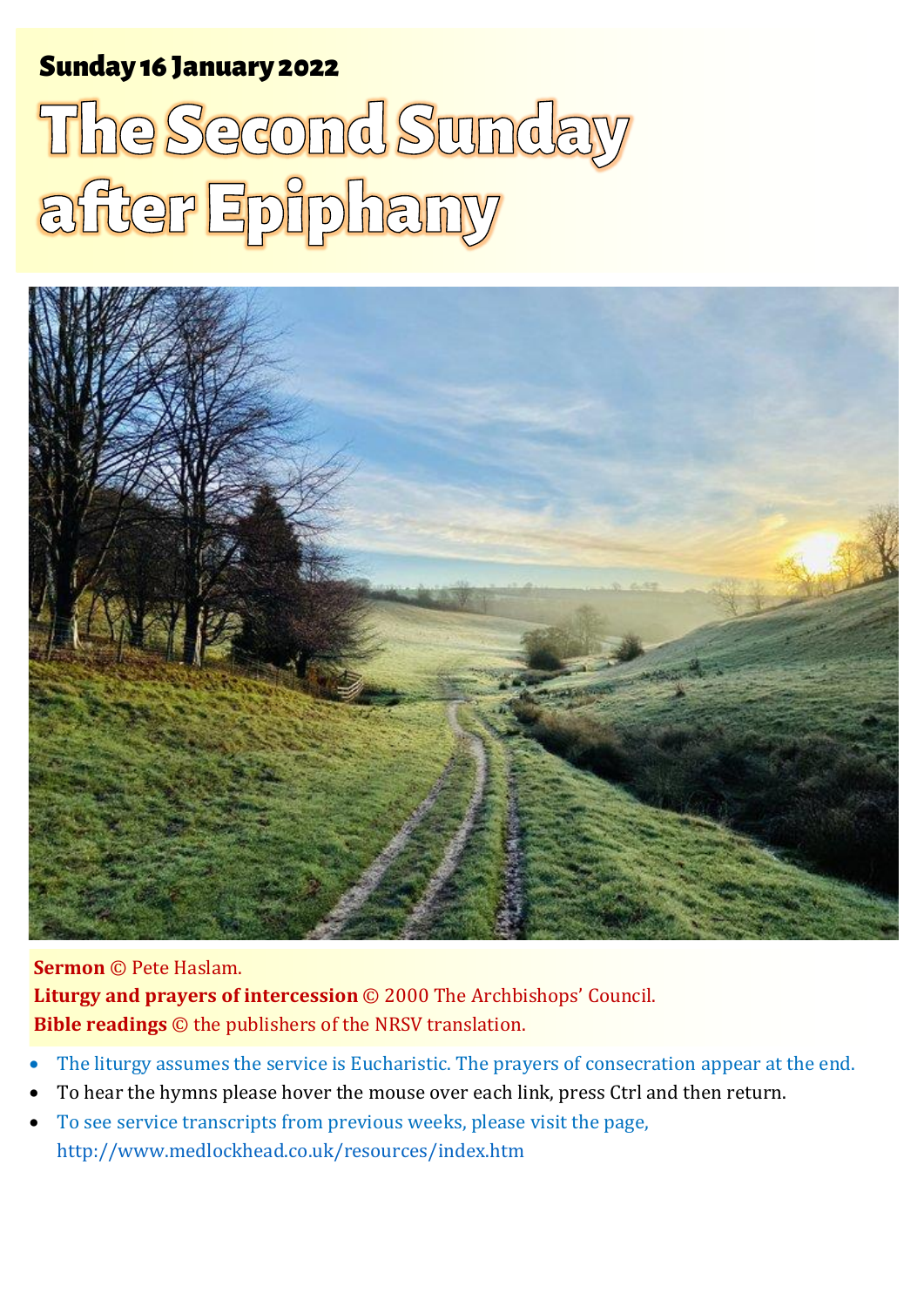## Sunday 16 January 2022 1 **The Second Sunday after Epiphany**  Sunday 16 January 2022

# The Second Sunday after Epiphany



**Sermon** © Pete Haslam.

**Liturgy and prayers of intercession** © 2000 The Archbishops' Council. **Bible readings** © the publishers of the NRSV translation.

- The liturgy assumes the service is Eucharistic. The prayers of consecration appear at the end.
- To hear the hymns please hover the mouse over each link, press Ctrl and then return.
- To see service transcripts from previous weeks, please visit the page, <http://www.medlockhead.co.uk/resources/index.htm>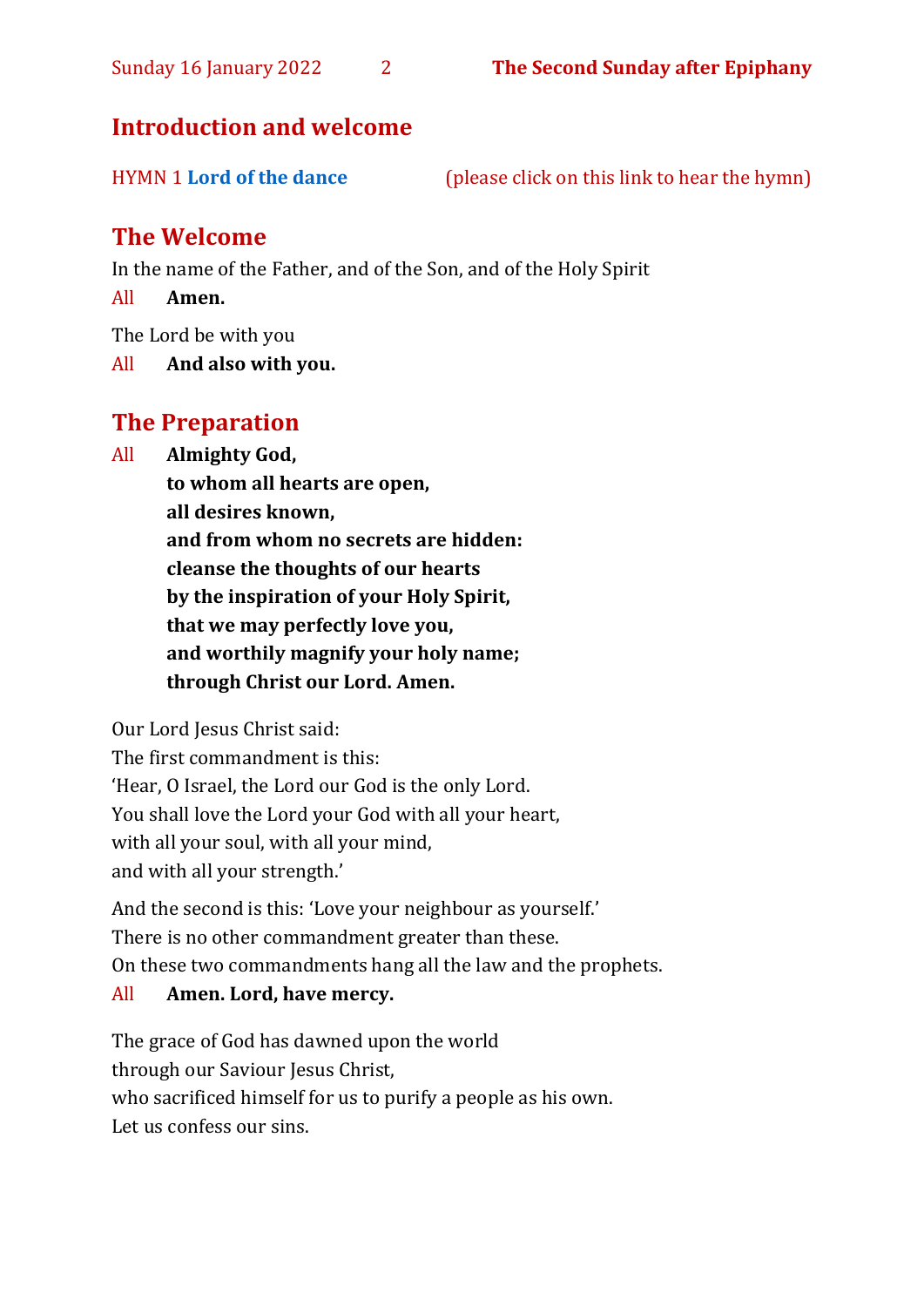#### **Introduction and welcome**

HYMN 1 **[Lord of the dance](https://www.youtube.com/watch?v=n1yzqsWxcBY)** (please click on this link to hear the hymn)

#### **The Welcome**

In the name of the Father, and of the Son, and of the Holy Spirit

All **Amen.**

The Lord be with you

All **And also with you.**

#### **The Preparation**

All **Almighty God,**

**to whom all hearts are open, all desires known, and from whom no secrets are hidden: cleanse the thoughts of our hearts by the inspiration of your Holy Spirit, that we may perfectly love you, and worthily magnify your holy name; through Christ our Lord. Amen.**

Our Lord Jesus Christ said:

The first commandment is this: 'Hear, O Israel, the Lord our God is the only Lord. You shall love the Lord your God with all your heart, with all your soul, with all your mind, and with all your strength.'

And the second is this: 'Love your neighbour as yourself.' There is no other commandment greater than these. On these two commandments hang all the law and the prophets.

#### All **Amen. Lord, have mercy.**

The grace of God has dawned upon the world through our Saviour Jesus Christ, who sacrificed himself for us to purify a people as his own. Let us confess our sins.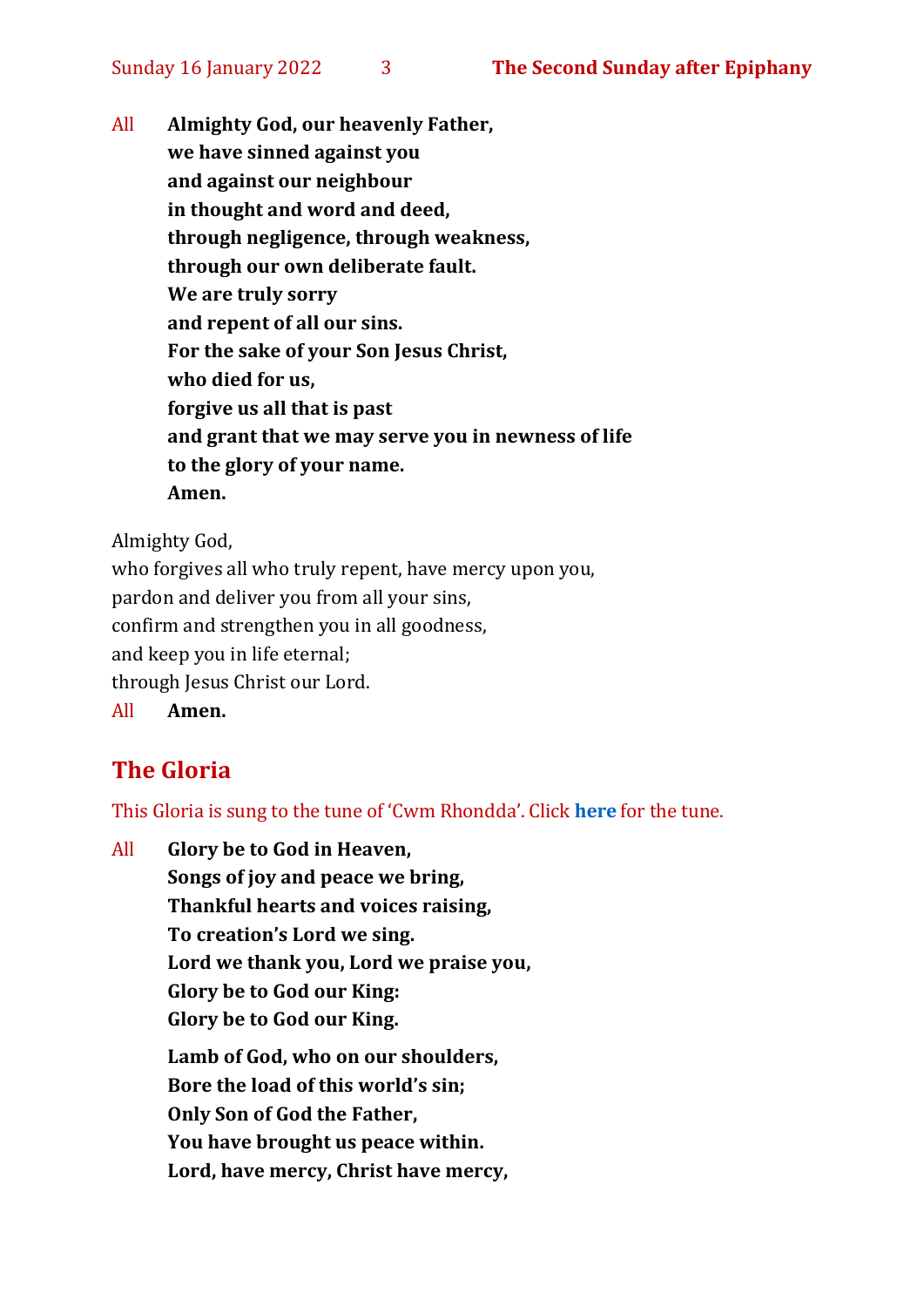All **Almighty God, our heavenly Father, we have sinned against you and against our neighbour in thought and word and deed, through negligence, through weakness, through our own deliberate fault. We are truly sorry and repent of all our sins. For the sake of your Son Jesus Christ, who died for us, forgive us all that is past and grant that we may serve you in newness of life to the glory of your name. Amen.**

Almighty God,

who forgives all who truly repent, have mercy upon you, pardon and deliver you from all your sins, confirm and strengthen you in all goodness, and keep you in life eternal; through Jesus Christ our Lord. All **Amen.**

#### **The Gloria**

This Gloria is sung to the tune of 'Cwm Rhondda'. Click **[here](about:blank)** for the tune.

All **Glory be to God in Heaven, Songs of joy and peace we bring, Thankful hearts and voices raising, To creation's Lord we sing. Lord we thank you, Lord we praise you, Glory be to God our King: Glory be to God our King. Lamb of God, who on our shoulders, Bore the load of this world's sin; Only Son of God the Father, You have brought us peace within.**

**Lord, have mercy, Christ have mercy,**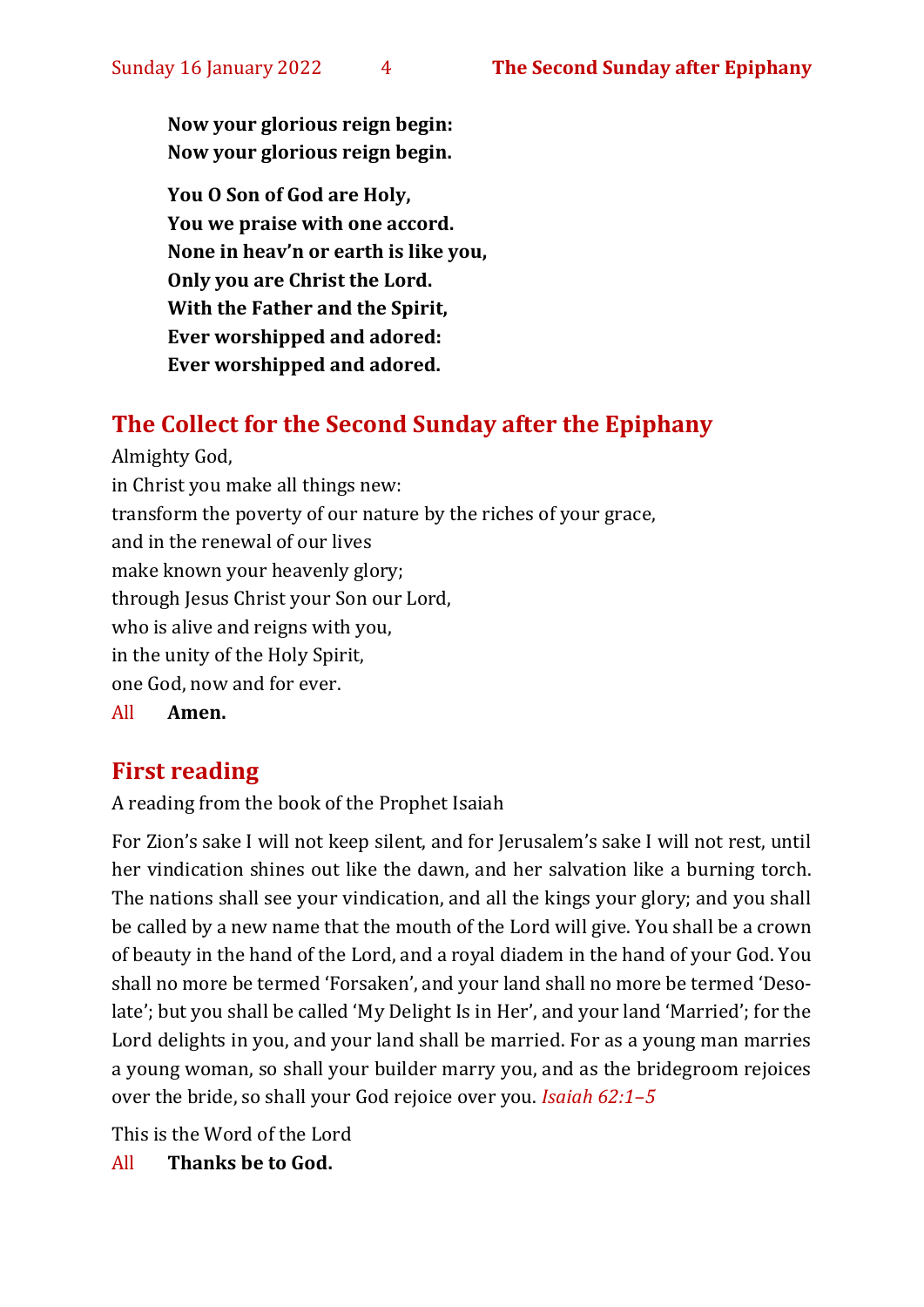**Now your glorious reign begin: Now your glorious reign begin.**

**You O Son of God are Holy, You we praise with one accord. None in heav'n or earth is like you, Only you are Christ the Lord. With the Father and the Spirit, Ever worshipped and adored: Ever worshipped and adored.**

#### **The Collect for the Second Sunday after the Epiphany**

Almighty God, in Christ you make all things new: transform the poverty of our nature by the riches of your grace, and in the renewal of our lives make known your heavenly glory; through Jesus Christ your Son our Lord, who is alive and reigns with you, in the unity of the Holy Spirit, one God, now and for ever.

All **Amen.**

#### **First reading**

A reading from the book of the Prophet Isaiah

For Zion's sake I will not keep silent, and for Jerusalem's sake I will not rest, until her vindication shines out like the dawn, and her salvation like a burning torch. The nations shall see your vindication, and all the kings your glory; and you shall be called by a new name that the mouth of the Lord will give. You shall be a crown of beauty in the hand of the Lord, and a royal diadem in the hand of your God. You shall no more be termed 'Forsaken', and your land shall no more be termed 'Desolate'; but you shall be called 'My Delight Is in Her', and your land 'Married'; for the Lord delights in you, and your land shall be married. For as a young man marries a young woman, so shall your builder marry you, and as the bridegroom rejoices over the bride, so shall your God rejoice over you. *Isaiah 62:1–5*

This is the Word of the Lord

All **Thanks be to God.**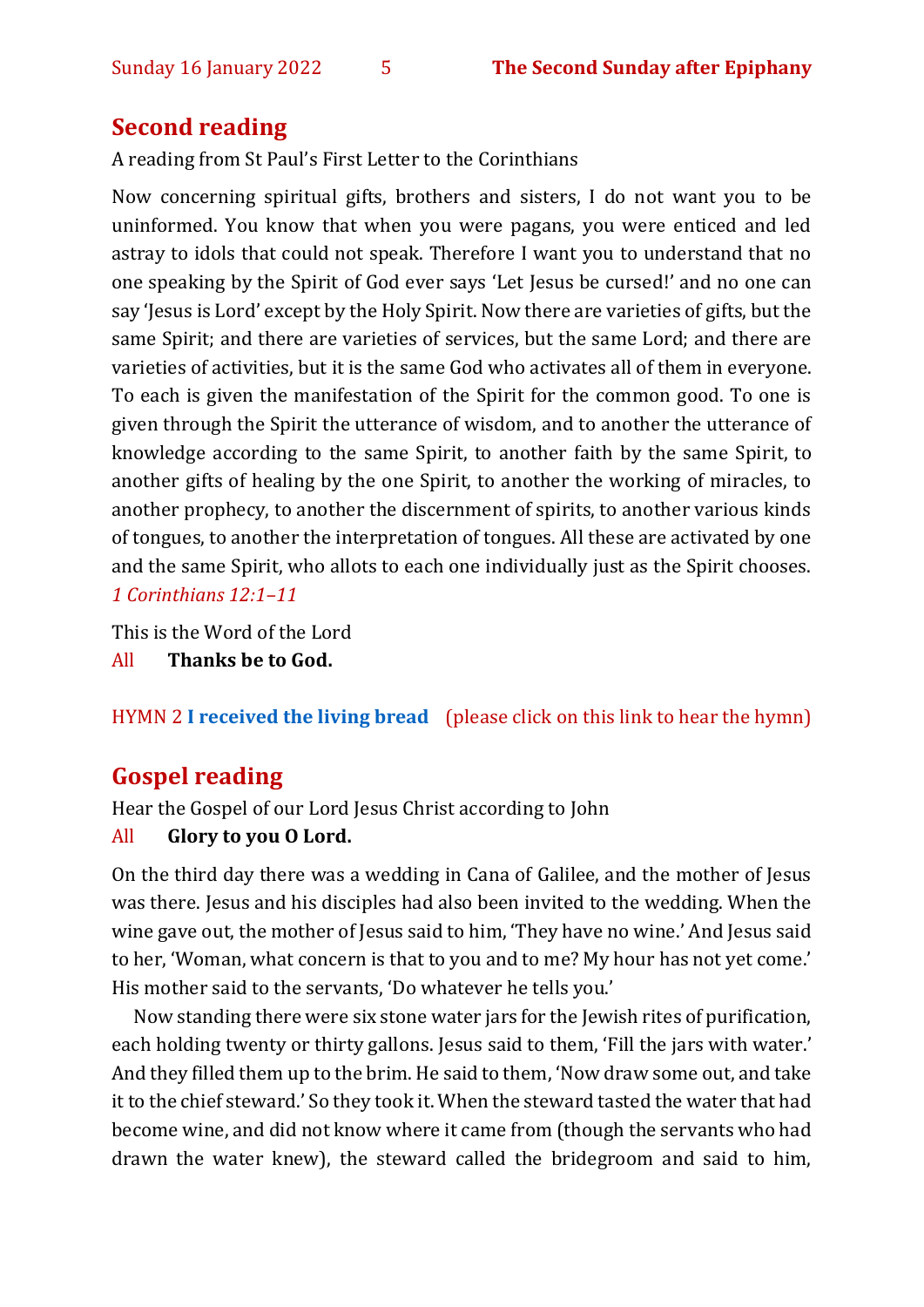#### **Second reading**

A reading from St Paul's First Letter to the Corinthians

Now concerning spiritual gifts, brothers and sisters, I do not want you to be uninformed. You know that when you were pagans, you were enticed and led astray to idols that could not speak. Therefore I want you to understand that no one speaking by the Spirit of God ever says 'Let Jesus be cursed!' and no one can say 'Jesus is Lord' except by the Holy Spirit. Now there are varieties of gifts, but the same Spirit; and there are varieties of services, but the same Lord; and there are varieties of activities, but it is the same God who activates all of them in everyone. To each is given the manifestation of the Spirit for the common good. To one is given through the Spirit the utterance of wisdom, and to another the utterance of knowledge according to the same Spirit, to another faith by the same Spirit, to another gifts of healing by the one Spirit, to another the working of miracles, to another prophecy, to another the discernment of spirits, to another various kinds of tongues, to another the interpretation of tongues. All these are activated by one and the same Spirit, who allots to each one individually just as the Spirit chooses. *1 Corinthians 12:1–11*

This is the Word of the Lord

All **Thanks be to God.**

#### HYMN 2 **[I received the living bread](https://www.youtube.com/watch?v=crgIRDh6IaA)** (please click on this link to hear the hymn)

#### **Gospel reading**

Hear the Gospel of our Lord Jesus Christ according to John

#### All **Glory to you O Lord.**

On the third day there was a wedding in Cana of Galilee, and the mother of Jesus was there. Jesus and his disciples had also been invited to the wedding. When the wine gave out, the mother of Jesus said to him, 'They have no wine.' And Jesus said to her, 'Woman, what concern is that to you and to me? My hour has not yet come.' His mother said to the servants, 'Do whatever he tells you.'

Now standing there were six stone water jars for the Jewish rites of purification, each holding twenty or thirty gallons. Jesus said to them, 'Fill the jars with water.' And they filled them up to the brim. He said to them, 'Now draw some out, and take it to the chief steward.' So they took it. When the steward tasted the water that had become wine, and did not know where it came from (though the servants who had drawn the water knew), the steward called the bridegroom and said to him,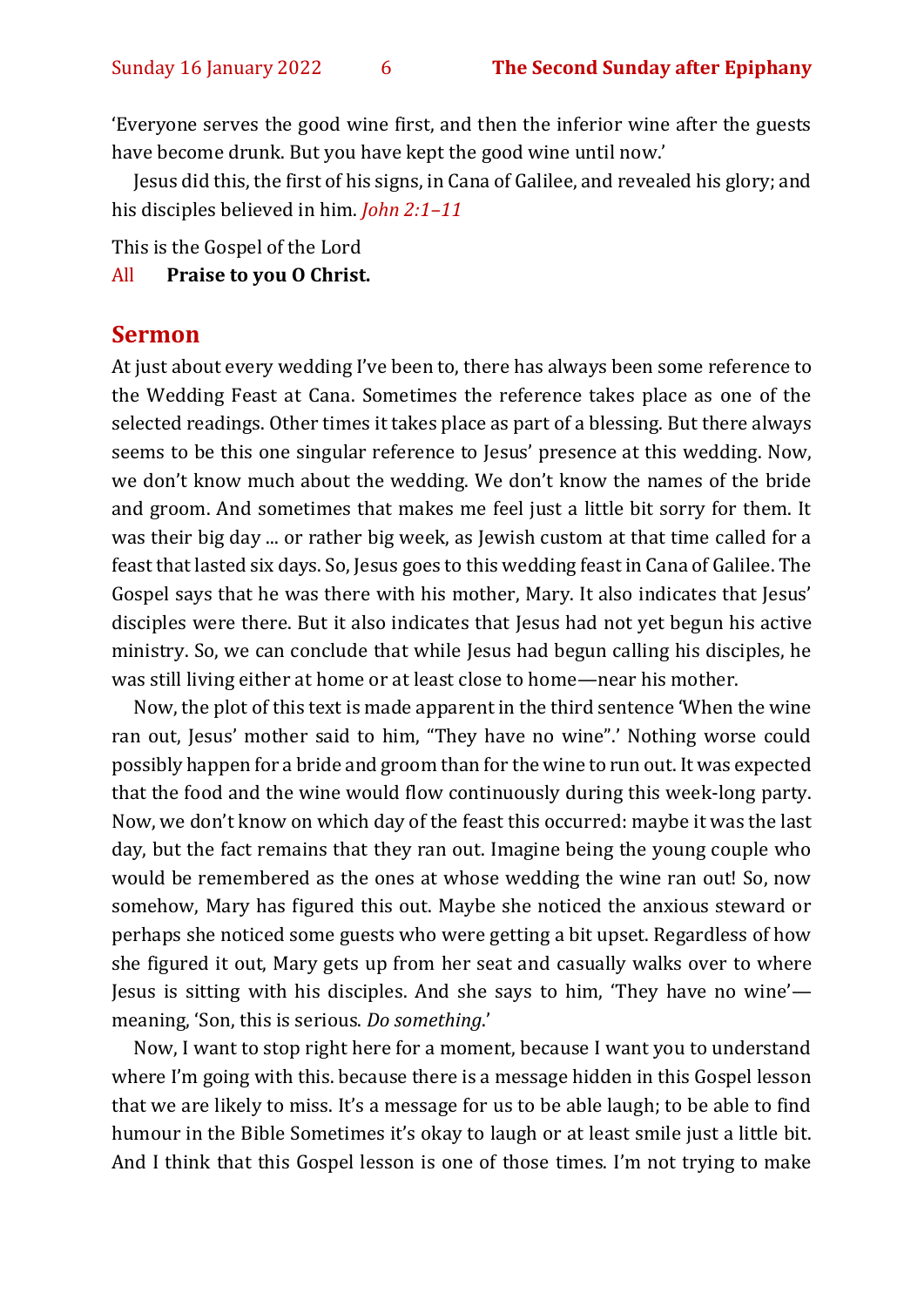'Everyone serves the good wine first, and then the inferior wine after the guests have become drunk. But you have kept the good wine until now.'

Jesus did this, the first of his signs, in Cana of Galilee, and revealed his glory; and his disciples believed in him. *John 2:1–11*

This is the Gospel of the Lord

All **Praise to you O Christ.** 

#### **Sermon**

At just about every wedding I've been to, there has always been some reference to the Wedding Feast at Cana. Sometimes the reference takes place as one of the selected readings. Other times it takes place as part of a blessing. But there always seems to be this one singular reference to Jesus' presence at this wedding. Now, we don't know much about the wedding. We don't know the names of the bride and groom. And sometimes that makes me feel just a little bit sorry for them. It was their big day ... or rather big week, as Jewish custom at that time called for a feast that lasted six days. So, Jesus goes to this wedding feast in Cana of Galilee. The Gospel says that he was there with his mother, Mary. It also indicates that Jesus' disciples were there. But it also indicates that Jesus had not yet begun his active ministry. So, we can conclude that while Jesus had begun calling his disciples, he was still living either at home or at least close to home—near his mother.

Now, the plot of this text is made apparent in the third sentence 'When the wine ran out, Jesus' mother said to him, "They have no wine".' Nothing worse could possibly happen for a bride and groom than for the wine to run out. It was expected that the food and the wine would flow continuously during this week-long party. Now, we don't know on which day of the feast this occurred: maybe it was the last day, but the fact remains that they ran out. Imagine being the young couple who would be remembered as the ones at whose wedding the wine ran out! So, now somehow, Mary has figured this out. Maybe she noticed the anxious steward or perhaps she noticed some guests who were getting a bit upset. Regardless of how she figured it out, Mary gets up from her seat and casually walks over to where Jesus is sitting with his disciples. And she says to him, 'They have no wine' meaning, 'Son, this is serious. *Do something*.'

Now, I want to stop right here for a moment, because I want you to understand where I'm going with this. because there is a message hidden in this Gospel lesson that we are likely to miss. It's a message for us to be able laugh; to be able to find humour in the Bible Sometimes it's okay to laugh or at least smile just a little bit. And I think that this Gospel lesson is one of those times. I'm not trying to make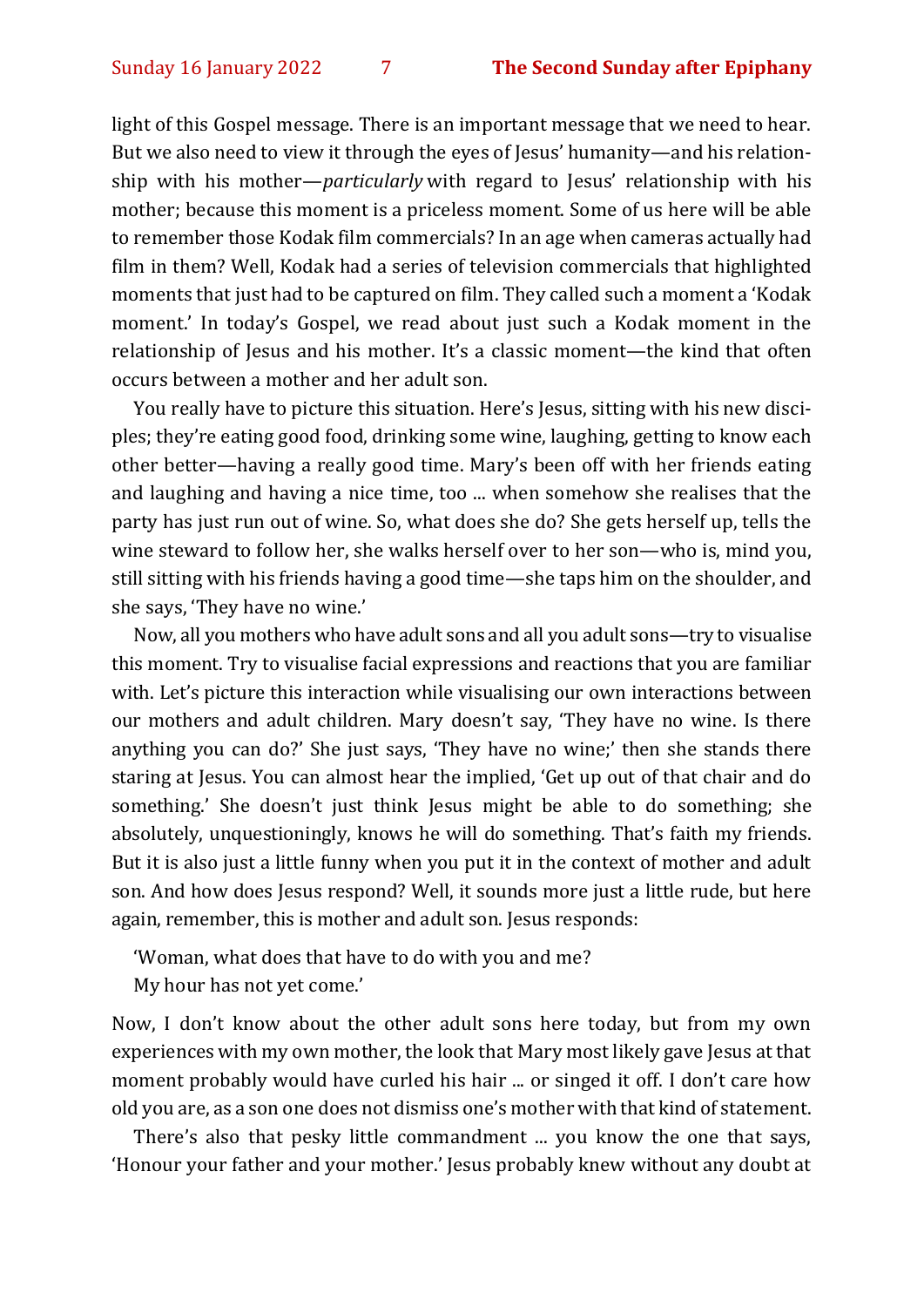light of this Gospel message. There is an important message that we need to hear. But we also need to view it through the eyes of Jesus' humanity—and his relationship with his mother—*particularly* with regard to Jesus' relationship with his mother; because this moment is a priceless moment. Some of us here will be able to remember those Kodak film commercials? In an age when cameras actually had film in them? Well, Kodak had a series of television commercials that highlighted moments that just had to be captured on film. They called such a moment a 'Kodak moment.' In today's Gospel, we read about just such a Kodak moment in the relationship of Jesus and his mother. It's a classic moment—the kind that often occurs between a mother and her adult son.

You really have to picture this situation. Here's Jesus, sitting with his new disciples; they're eating good food, drinking some wine, laughing, getting to know each other better—having a really good time. Mary's been off with her friends eating and laughing and having a nice time, too ... when somehow she realises that the party has just run out of wine. So, what does she do? She gets herself up, tells the wine steward to follow her, she walks herself over to her son—who is, mind you, still sitting with his friends having a good time—she taps him on the shoulder, and she says, 'They have no wine.'

Now, all you mothers who have adult sons and all you adult sons—try to visualise this moment. Try to visualise facial expressions and reactions that you are familiar with. Let's picture this interaction while visualising our own interactions between our mothers and adult children. Mary doesn't say, 'They have no wine. Is there anything you can do?' She just says, 'They have no wine;' then she stands there staring at Jesus. You can almost hear the implied, 'Get up out of that chair and do something.' She doesn't just think Jesus might be able to do something; she absolutely, unquestioningly, knows he will do something. That's faith my friends. But it is also just a little funny when you put it in the context of mother and adult son. And how does Jesus respond? Well, it sounds more just a little rude, but here again, remember, this is mother and adult son. Jesus responds:

'Woman, what does that have to do with you and me?

My hour has not yet come.'

Now, I don't know about the other adult sons here today, but from my own experiences with my own mother, the look that Mary most likely gave Jesus at that moment probably would have curled his hair ... or singed it off. I don't care how old you are, as a son one does not dismiss one's mother with that kind of statement.

There's also that pesky little commandment ... you know the one that says, 'Honour your father and your mother.' Jesus probably knew without any doubt at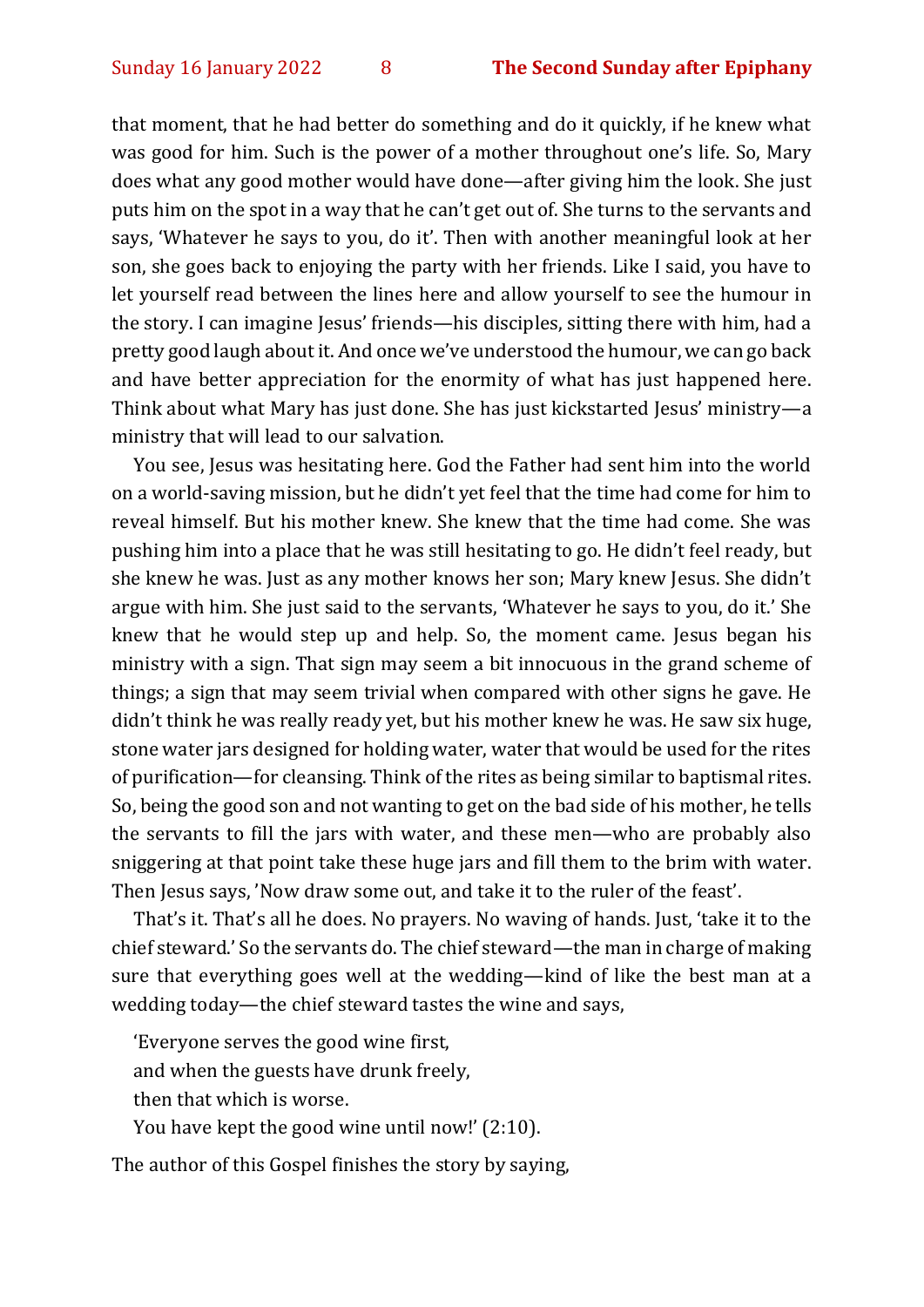that moment, that he had better do something and do it quickly, if he knew what was good for him. Such is the power of a mother throughout one's life. So, Mary does what any good mother would have done—after giving him the look. She just puts him on the spot in a way that he can't get out of. She turns to the servants and says, 'Whatever he says to you, do it'. Then with another meaningful look at her son, she goes back to enjoying the party with her friends. Like I said, you have to let yourself read between the lines here and allow yourself to see the humour in the story. I can imagine Jesus' friends—his disciples, sitting there with him, had a pretty good laugh about it. And once we've understood the humour, we can go back and have better appreciation for the enormity of what has just happened here. Think about what Mary has just done. She has just kickstarted Jesus' ministry—a ministry that will lead to our salvation.

You see, Jesus was hesitating here. God the Father had sent him into the world on a world-saving mission, but he didn't yet feel that the time had come for him to reveal himself. But his mother knew. She knew that the time had come. She was pushing him into a place that he was still hesitating to go. He didn't feel ready, but she knew he was. Just as any mother knows her son; Mary knew Jesus. She didn't argue with him. She just said to the servants, 'Whatever he says to you, do it.' She knew that he would step up and help. So, the moment came. Jesus began his ministry with a sign. That sign may seem a bit innocuous in the grand scheme of things; a sign that may seem trivial when compared with other signs he gave. He didn't think he was really ready yet, but his mother knew he was. He saw six huge, stone water jars designed for holding water, water that would be used for the rites of purification—for cleansing. Think of the rites as being similar to baptismal rites. So, being the good son and not wanting to get on the bad side of his mother, he tells the servants to fill the jars with water, and these men—who are probably also sniggering at that point take these huge jars and fill them to the brim with water. Then Jesus says, 'Now draw some out, and take it to the ruler of the feast'.

That's it. That's all he does. No prayers. No waving of hands. Just, 'take it to the chief steward.' So the servants do. The chief steward—the man in charge of making sure that everything goes well at the wedding—kind of like the best man at a wedding today—the chief steward tastes the wine and says,

'Everyone serves the good wine first,

and when the guests have drunk freely,

then that which is worse.

You have kept the good wine until now!' (2:10).

The author of this Gospel finishes the story by saying,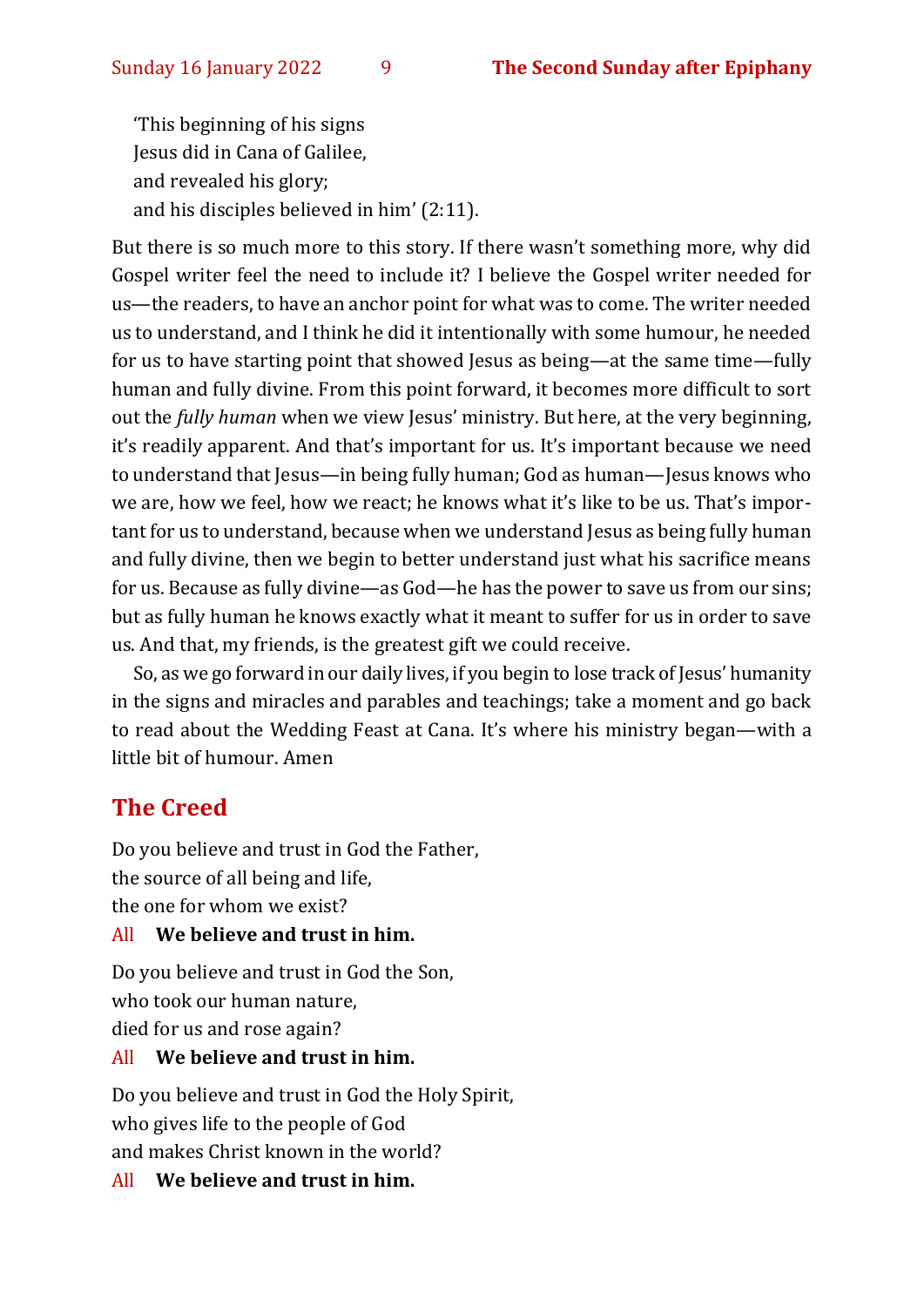'This beginning of his signs Jesus did in Cana of Galilee, and revealed his glory; and his disciples believed in him' (2:11).

But there is so much more to this story. If there wasn't something more, why did Gospel writer feel the need to include it? I believe the Gospel writer needed for us—the readers, to have an anchor point for what was to come. The writer needed us to understand, and I think he did it intentionally with some humour, he needed for us to have starting point that showed Jesus as being—at the same time—fully human and fully divine. From this point forward, it becomes more difficult to sort out the *fully human* when we view Jesus' ministry. But here, at the very beginning, it's readily apparent. And that's important for us. It's important because we need to understand that Jesus—in being fully human; God as human—Jesus knows who we are, how we feel, how we react; he knows what it's like to be us. That's important for us to understand, because when we understand Jesus as being fully human and fully divine, then we begin to better understand just what his sacrifice means for us. Because as fully divine—as God—he has the power to save us from our sins; but as fully human he knows exactly what it meant to suffer for us in order to save us. And that, my friends, is the greatest gift we could receive.

So, as we go forward in our daily lives, if you begin to lose track of Jesus' humanity in the signs and miracles and parables and teachings; take a moment and go back to read about the Wedding Feast at Cana. It's where his ministry began—with a little bit of humour. Amen

#### **The Creed**

Do you believe and trust in God the Father, the source of all being and life, the one for whom we exist?

#### All **We believe and trust in him.**

Do you believe and trust in God the Son, who took our human nature, died for us and rose again?

#### All **We believe and trust in him.**

Do you believe and trust in God the Holy Spirit, who gives life to the people of God and makes Christ known in the world?

All **We believe and trust in him.**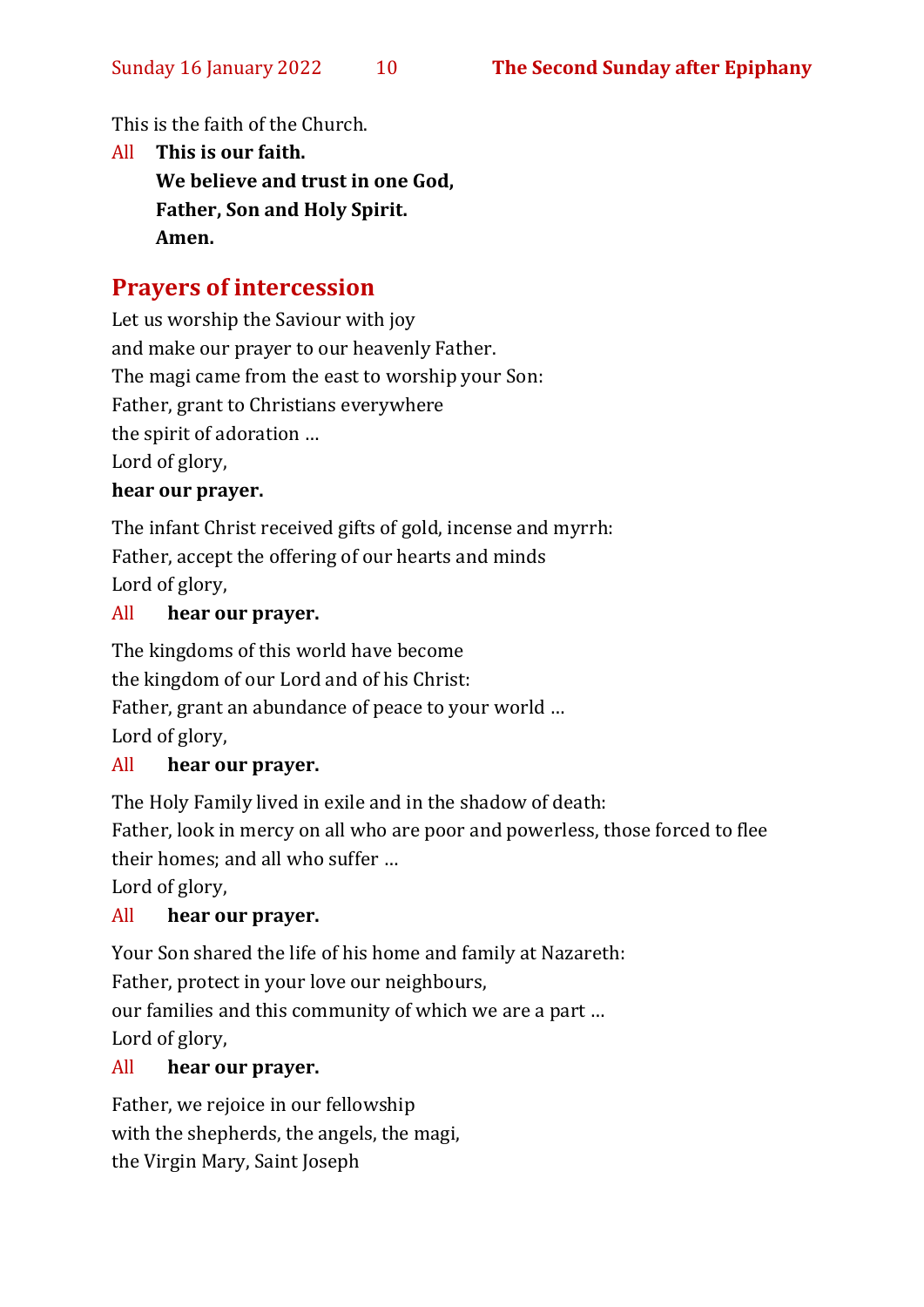This is the faith of the Church.

All **This is our faith. We believe and trust in one God, Father, Son and Holy Spirit. Amen.**

### **Prayers of intercession**

Let us worship the Saviour with joy and make our prayer to our heavenly Father. The magi came from the east to worship your Son: Father, grant to Christians everywhere the spirit of adoration … Lord of glory,

#### **hear our prayer.**

The infant Christ received gifts of gold, incense and myrrh: Father, accept the offering of our hearts and minds Lord of glory,

#### All **hear our prayer.**

The kingdoms of this world have become the kingdom of our Lord and of his Christ: Father, grant an abundance of peace to your world … Lord of glory,

#### All **hear our prayer.**

The Holy Family lived in exile and in the shadow of death:

Father, look in mercy on all who are poor and powerless, those forced to flee their homes; and all who suffer …

Lord of glory,

#### All **hear our prayer.**

Your Son shared the life of his home and family at Nazareth: Father, protect in your love our neighbours, our families and this community of which we are a part … Lord of glory,

#### All **hear our prayer.**

Father, we rejoice in our fellowship with the shepherds, the angels, the magi, the Virgin Mary, Saint Joseph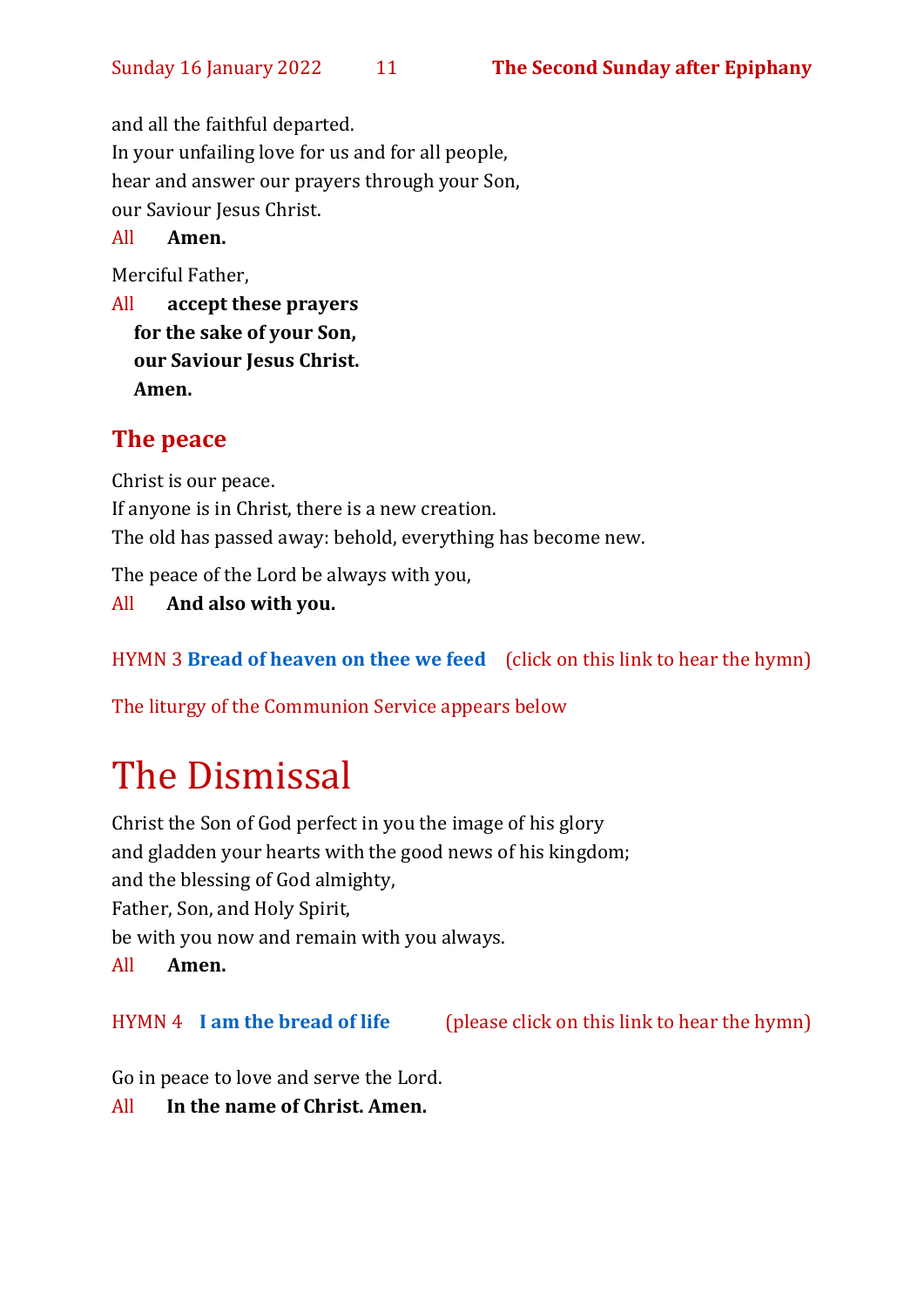and all the faithful departed. In your unfailing love for us and for all people, hear and answer our prayers through your Son, our Saviour Jesus Christ.

All **Amen.**

Merciful Father,

All **accept these prayers for the sake of your Son, our Saviour Jesus Christ. Amen.**

#### **The peace**

Christ is our peace.

If anyone is in Christ, there is a new creation. The old has passed away: behold, everything has become new.

The peace of the Lord be always with you,

All **And also with you.**

```
HYMN 3 Bread of heaven on thee we feed (click on this link to hear the hymn)
```
The liturgy of the Communion Service appears below

# The Dismissal

Christ the Son of God perfect in you the image of his glory and gladden your hearts with the good news of his kingdom; and the blessing of God almighty, Father, Son, and Holy Spirit, be with you now and remain with you always. All **Amen.**

HYMN 4 **[I am the bread of life](https://www.youtube.com/watch?v=IvD0XJzOWQ4)** (please click on this link to hear the hymn)

Go in peace to love and serve the Lord.

All **In the name of Christ. Amen.**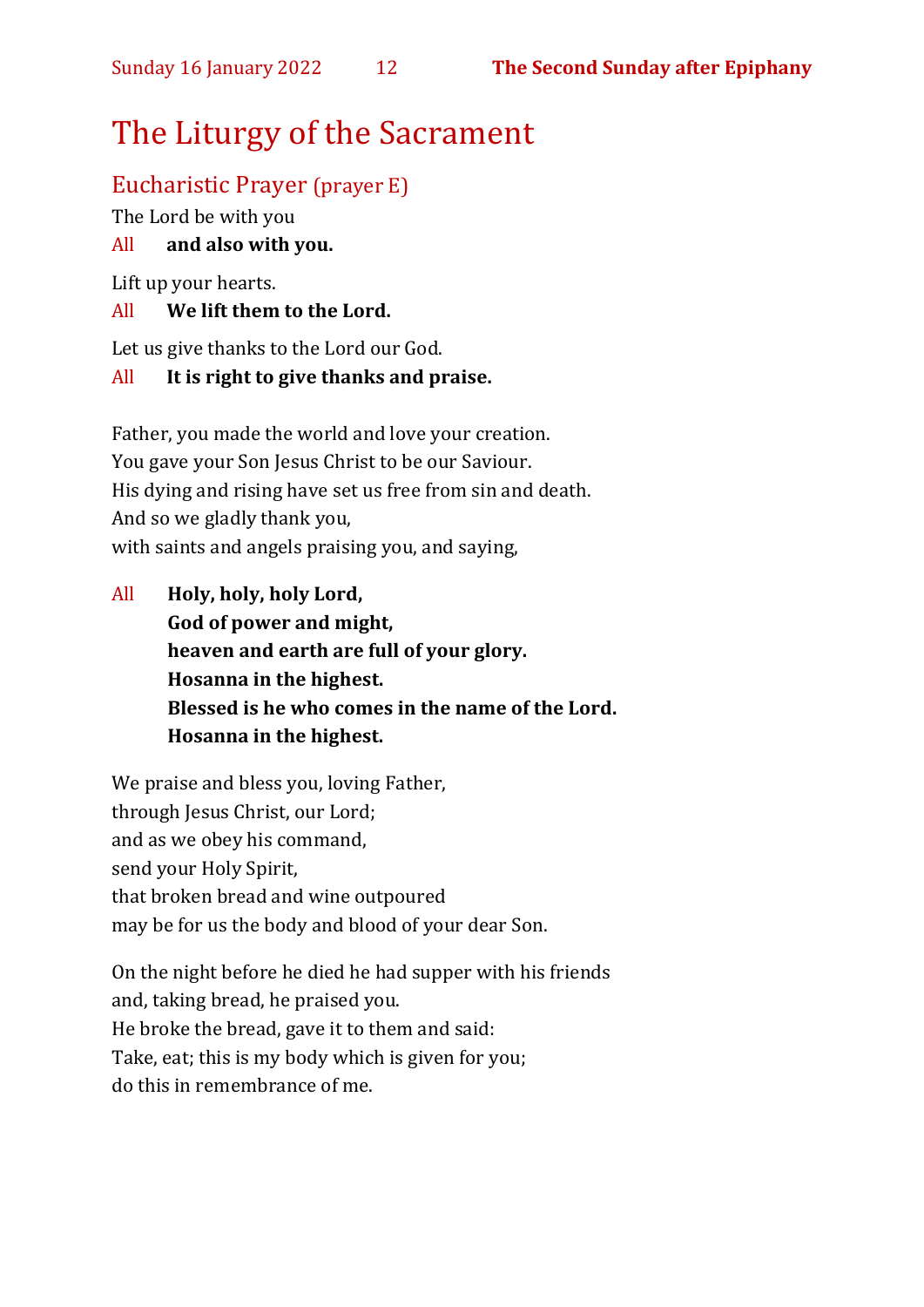# The Liturgy of the Sacrament

#### Eucharistic Prayer (prayer E)

The Lord be with you

#### All **and also with you.**

Lift up your hearts.

#### All **We lift them to the Lord.**

Let us give thanks to the Lord our God.

#### All **It is right to give thanks and praise.**

Father, you made the world and love your creation. You gave your Son Jesus Christ to be our Saviour. His dying and rising have set us free from sin and death. And so we gladly thank you, with saints and angels praising you, and saying,

All **Holy, holy, holy Lord, God of power and might, heaven and earth are full of your glory. Hosanna in the highest. Blessed is he who comes in the name of the Lord. Hosanna in the highest.**

We praise and bless you, loving Father, through Jesus Christ, our Lord; and as we obey his command, send your Holy Spirit, that broken bread and wine outpoured may be for us the body and blood of your dear Son.

On the night before he died he had supper with his friends and, taking bread, he praised you. He broke the bread, gave it to them and said: Take, eat; this is my body which is given for you; do this in remembrance of me.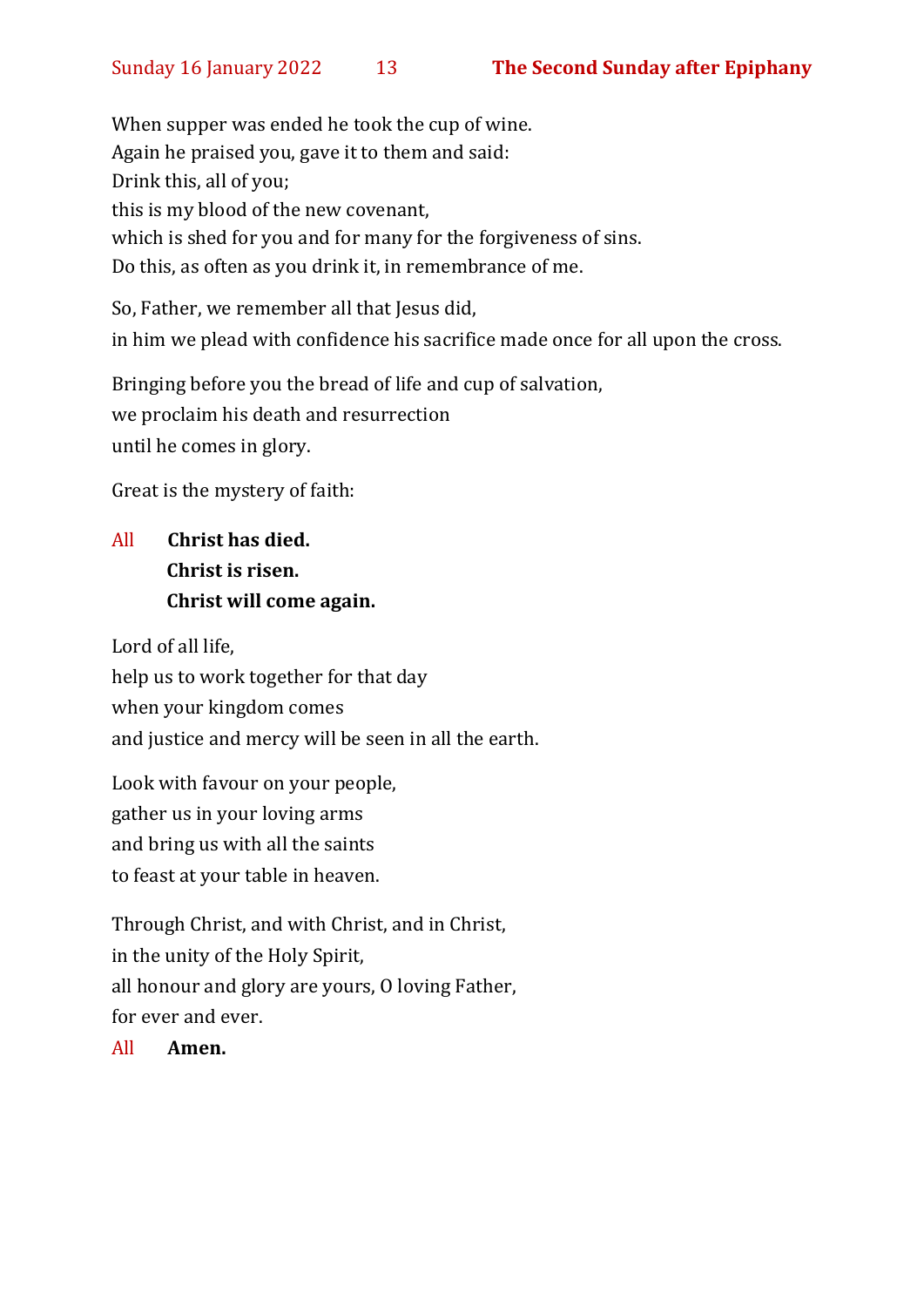When supper was ended he took the cup of wine. Again he praised you, gave it to them and said: Drink this, all of you; this is my blood of the new covenant, which is shed for you and for many for the forgiveness of sins. Do this, as often as you drink it, in remembrance of me.

So, Father, we remember all that Jesus did, in him we plead with confidence his sacrifice made once for all upon the cross.

Bringing before you the bread of life and cup of salvation, we proclaim his death and resurrection until he comes in glory.

Great is the mystery of faith:

#### All **Christ has died. Christ is risen. Christ will come again.**

Lord of all life, help us to work together for that day when your kingdom comes and justice and mercy will be seen in all the earth.

Look with favour on your people, gather us in your loving arms and bring us with all the saints to feast at your table in heaven.

Through Christ, and with Christ, and in Christ, in the unity of the Holy Spirit, all honour and glory are yours, O loving Father, for ever and ever.

All **Amen.**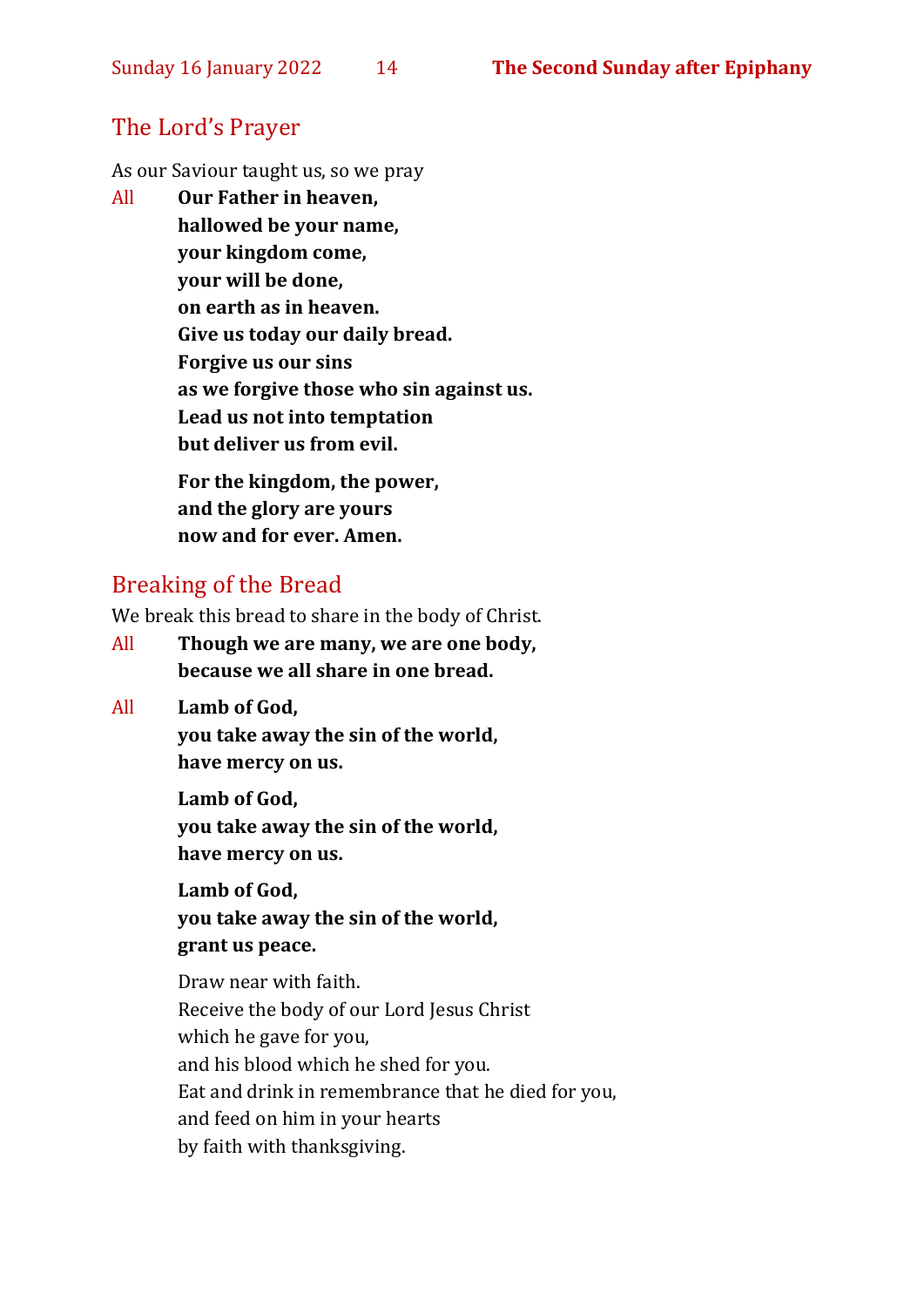#### The Lord's Prayer

As our Saviour taught us, so we pray

All **Our Father in heaven, hallowed be your name, your kingdom come, your will be done, on earth as in heaven. Give us today our daily bread. Forgive us our sins as we forgive those who sin against us. Lead us not into temptation but deliver us from evil. For the kingdom, the power,** 

**and the glory are yours now and for ever. Amen.**

#### Breaking of the Bread

We break this bread to share in the body of Christ.

- All **Though we are many, we are one body, because we all share in one bread.**
- All **Lamb of God,**

**you take away the sin of the world, have mercy on us.**

**Lamb of God, you take away the sin of the world, have mercy on us.**

**Lamb of God, you take away the sin of the world, grant us peace.**

Draw near with faith. Receive the body of our Lord Jesus Christ which he gave for you, and his blood which he shed for you. Eat and drink in remembrance that he died for you, and feed on him in your hearts by faith with thanksgiving.